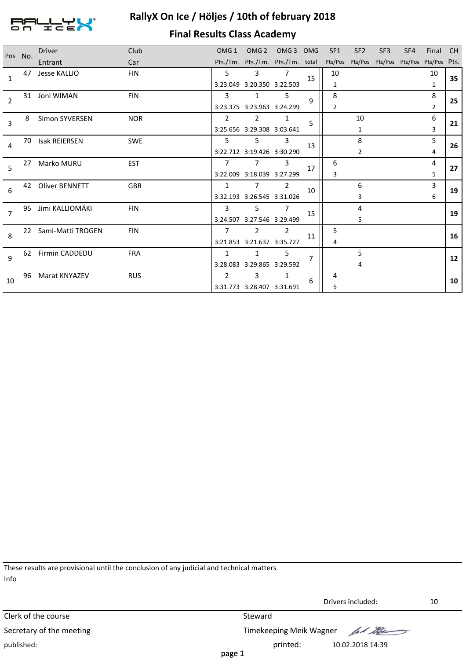

# **RallyX On Ice / Höljes / 10th of february 2018**

# **Final Results Class Academy**

| Pos No.        |    | <b>Driver</b>         | Club       | OMG <sub>1</sub> |                                  | OMG 2 OMG 3 OMG |    | SF <sub>1</sub> | SF <sub>2</sub>                              | SF <sub>3</sub> | SF4 | Final          | - CH |
|----------------|----|-----------------------|------------|------------------|----------------------------------|-----------------|----|-----------------|----------------------------------------------|-----------------|-----|----------------|------|
|                |    | Entrant               | Car        |                  | Pts./Tm. Pts./Tm. Pts./Tm. total |                 |    |                 | Pts/Pos Pts/Pos Pts/Pos Pts/Pos Pts/Pos Pts. |                 |     |                |      |
| $\mathbf{1}$   | 47 | Jesse KALLIO          | <b>FIN</b> | 5                | 3                                | 7               | 15 | 10              |                                              |                 |     | 10             | 35   |
|                |    |                       |            |                  | 3:23.049 3:20.350 3:22.503       |                 |    | 1               |                                              |                 |     | 1              |      |
| $\overline{2}$ | 31 | Joni WIMAN            | <b>FIN</b> | 3                | 1                                | 5               | 9  | 8               |                                              |                 |     | 8              |      |
|                |    |                       |            |                  | 3:23.375 3:23.963 3:24.299       |                 |    | 2               |                                              |                 |     | $\overline{2}$ | 25   |
| 3              | 8  | Simon SYVERSEN        | <b>NOR</b> | 2                | 2                                | 1               | 5  |                 | 10                                           |                 |     | 6              | 21   |
|                |    |                       |            |                  | 3:25.656 3:29.308 3:03.641       |                 |    |                 | 1                                            |                 |     | 3              |      |
| 4              | 70 | <b>Isak REIERSEN</b>  | <b>SWE</b> | 5                | 5                                | 3               | 13 |                 | 8                                            |                 |     | 5              | 26   |
|                |    |                       |            |                  | 3:22.712 3:19.426 3:30.290       |                 |    |                 | $\overline{2}$                               |                 |     | 4              |      |
| 5              | 27 | Marko MURU            | <b>EST</b> | 7                | 7                                | 3               | 17 | 6               |                                              |                 |     | 4              | 27   |
|                |    |                       |            |                  | 3:22.009 3:18.039 3:27.299       |                 |    | 3               |                                              |                 |     | 5              |      |
| 6              | 42 | <b>Oliver BENNETT</b> | <b>GBR</b> | 1                | $\overline{7}$                   | 2               | 10 |                 | 6                                            |                 |     | 3              | 19   |
|                |    |                       |            |                  | 3:32.193 3:26.545 3:31.026       |                 |    |                 | 3                                            |                 |     | 6              |      |
| $\overline{7}$ | 95 | Jimi KALLIOMÄKI       | <b>FIN</b> | 3                | 5.                               |                 | 15 |                 | 4                                            |                 |     |                | 19   |
|                |    |                       |            |                  | 3:24.507 3:27.546 3:29.499       |                 |    |                 | 5                                            |                 |     |                |      |
| 8              | 22 | Sami-Matti TROGEN     | <b>FIN</b> | $\overline{7}$   | $\overline{2}$                   | $\overline{2}$  |    | 5               |                                              |                 |     |                | 16   |
|                |    |                       |            |                  | 3:21.853 3:21.637 3:35.727       |                 | 11 | 4               |                                              |                 |     |                |      |
| 9              |    | 62 Firmin CADDEDU     | <b>FRA</b> | $\mathbf{1}$     | $\mathbf{1}$                     | 5               |    |                 | 5                                            |                 |     |                | 12   |
|                |    |                       |            |                  | 3:28.083 3:29.865 3:29.592       |                 |    |                 | 4                                            |                 |     |                |      |
|                | 96 | Marat KNYAZEV         | <b>RUS</b> | 2                | 3                                | 1               |    | 4               |                                              |                 |     |                |      |
| 10             |    |                       |            |                  | 3:31.773 3:28.407 3:31.691       |                 | 6  | 5               |                                              |                 |     |                | 10   |

These results are provisional until the conclusion of any judicial and technical matters Info

|                          | Drivers included:<br>10         |  |
|--------------------------|---------------------------------|--|
| Clerk of the course      | Steward                         |  |
| Secretary of the meeting | Timekeeping Meik Wagner Art May |  |
| published:               | printed:<br>10.02.2018 14:39    |  |
|                          | page 1                          |  |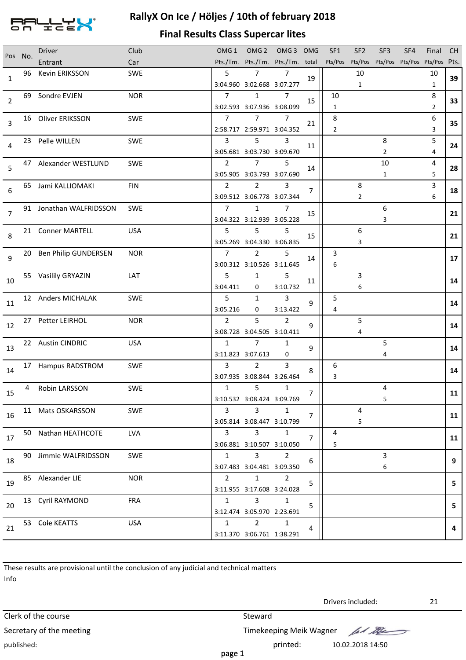

### **RallyX On Ice / Höljes / 10th of february 2018**

#### **Final Results Class Supercar lites**

| Pos No.        | <b>Driver</b>           | Club       | OMG <sub>1</sub>       | OMG <sub>2</sub>                             | OMG 3 OMG      |                | SF <sub>1</sub> | SF <sub>2</sub>                              | SF <sub>3</sub> | SF4 | Final          | <b>CH</b> |
|----------------|-------------------------|------------|------------------------|----------------------------------------------|----------------|----------------|-----------------|----------------------------------------------|-----------------|-----|----------------|-----------|
|                | Entrant                 | Car        |                        | Pts./Tm. Pts./Tm. Pts./Tm. total             |                |                |                 | Pts/Pos Pts/Pos Pts/Pos Pts/Pos Pts/Pos Pts. |                 |     |                |           |
| $\mathbf{1}$   | 96 Kevin ERIKSSON       | <b>SWE</b> | 5                      | $7\overline{ }$                              | $\overline{7}$ | 19             |                 | 10                                           |                 |     | 10             | 39        |
|                |                         |            |                        | 3:04.960 3:02.668 3:07.277                   |                |                |                 | $\mathbf{1}$                                 |                 |     | $\mathbf{1}$   |           |
| $\overline{2}$ | 69 Sondre EVJEN         | <b>NOR</b> | $\overline{7}$         | $\mathbf{1}$                                 | 7              | 15             | 10              |                                              |                 |     | 8              | 33        |
|                |                         |            |                        | 3:02.593 3:07.936 3:08.099                   |                |                | $\mathbf{1}$    |                                              |                 |     | $\overline{2}$ |           |
| 3              | 16 Oliver ERIKSSON      | <b>SWE</b> | $7^{\circ}$            | $7^{\circ}$                                  | $\overline{7}$ | 21             | 8               |                                              |                 |     | 6              | 35        |
|                |                         |            |                        | 2:58.717 2:59.971 3:04.352                   |                |                | $\overline{2}$  |                                              |                 |     | 3              |           |
| 4              | 23 Pelle WILLEN         | <b>SWE</b> | $\overline{3}$         | 5                                            | 3              | 11             |                 |                                              | 8               |     | 5              | 24        |
|                |                         |            |                        | 3:05.681 3:03.730 3:09.670                   |                |                |                 |                                              | $\overline{2}$  |     | 4              |           |
| 5              | 47 Alexander WESTLUND   | <b>SWE</b> | $\mathbf{2}$           | $\overline{7}$                               | 5              | 14             |                 |                                              | 10              |     | 4              | 28        |
|                |                         |            |                        | 3:05.905 3:03.793 3:07.690                   |                |                |                 |                                              | $\mathbf{1}$    |     | 5              |           |
| 6              | 65 Jami KALLIOMAKI      | <b>FIN</b> | 2                      | $\overline{2}$                               | 3              | 7              |                 | 8                                            |                 |     | 3              | 18        |
|                |                         |            |                        | 3:09.512 3:06.778 3:07.344                   |                |                |                 | $\overline{2}$                               |                 |     | 6              |           |
| $\overline{7}$ | 91 Jonathan WALFRIDSSON | <b>SWE</b> | $\overline{7}$         | $\mathbf{1}$                                 | $\overline{7}$ | 15             |                 |                                              | 6               |     |                | 21        |
|                |                         |            |                        | 3:04.322 3:12.939 3:05.228                   |                |                |                 |                                              | 3               |     |                |           |
| 8              | 21 Conner MARTELL       | <b>USA</b> | 5                      | 5                                            | 5              | 15             |                 | 6                                            |                 |     |                | 21        |
|                |                         |            |                        | 3:05.269 3:04.330 3:06.835                   |                |                |                 | 3                                            |                 |     |                |           |
| 9              | 20 Ben Philip GUNDERSEN | <b>NOR</b> | $7^{\circ}$            | $\overline{2}$                               | 5              | 14             | 3               |                                              |                 |     |                | 17        |
|                |                         |            |                        | 3:00.312 3:10.526 3:11.645                   |                |                | 6               |                                              |                 |     |                |           |
| 10             | 55 Vasilily GRYAZIN     | LAT        | 5                      | $\mathbf{1}$                                 | 5              | 11             |                 | 3                                            |                 |     |                | 14        |
|                |                         |            | 3:04.411               | 0                                            | 3:10.732       |                |                 | 6                                            |                 |     |                |           |
| 11             | 12 Anders MICHALAK      | SWE        | 5 <sup>1</sup>         | $\mathbf{1}$                                 | $\mathbf{3}$   | 9              | 5               |                                              |                 |     |                | 14        |
|                |                         |            | 3:05.216               | 0                                            | 3:13.422       |                | 4               |                                              |                 |     |                |           |
| 12             | 27 Petter LEIRHOL       | <b>NOR</b> | $2^{\circ}$            | 5                                            | $\overline{2}$ | 9              |                 | 5                                            |                 |     |                | 14        |
|                |                         |            |                        | 3:08.728 3:04.505 3:10.411<br>$\overline{7}$ |                |                |                 | 4                                            | 5               |     |                |           |
| 13             | 22 Austin CINDRIC       | <b>USA</b> | $\mathbf{1}$           |                                              | $\mathbf{1}$   | 9              |                 |                                              |                 |     |                | 14        |
|                |                         |            |                        | 3:11.823 3:07.613                            | 0              |                |                 |                                              | 4               |     |                |           |
| 14             | 17 Hampus RADSTROM      | <b>SWE</b> | $\mathbf{3}$           | $\overline{2}$                               | 3              | 8              | 6               |                                              |                 |     |                | 14        |
|                |                         |            |                        | 3:07.935 3:08.844 3:26.464                   |                |                | 3               |                                              |                 |     |                |           |
| 15             | 4 Robin LARSSON         | <b>SWE</b> | $\mathbf{1}$           | 5                                            | $\mathbf{1}$   | $\overline{7}$ |                 |                                              | 4               |     |                | 11        |
|                |                         |            | $\overline{3}$         | 3:10.532 3:08.424 3:09.769<br>3              | $\mathbf{1}$   |                |                 | 4                                            | 5               |     |                |           |
| 16             | 11 Mats OSKARSSON       | <b>SWE</b> |                        |                                              |                | 7              |                 |                                              |                 |     |                | 11        |
|                |                         |            | $3 \sim$               | 3:05.814 3:08.447 3:10.799<br>3 <sup>1</sup> | 1              |                | 4               | 5                                            |                 |     |                |           |
| 17             | 50 Nathan HEATHCOTE     | <b>LVA</b> |                        |                                              |                | 7              |                 |                                              |                 |     |                | 11        |
|                |                         |            |                        | 3:06.881 3:10.507 3:10.050<br>$\mathbf{3}$   |                |                | 5               |                                              | 3               |     |                |           |
| 18             | 90 Jimmie WALFRIDSSON   | <b>SWE</b> | $1 \quad$              |                                              | $\overline{2}$ | 6              |                 |                                              |                 |     |                | 9         |
|                |                         |            |                        | 3:07.483 3:04.481 3:09.350<br>$\mathbf{1}$   | $\overline{2}$ |                |                 |                                              | 6               |     |                |           |
| 19             | 85 Alexander LIE        | <b>NOR</b> | $2^{\circ}$            |                                              |                | 5              |                 |                                              |                 |     |                | 5         |
|                |                         |            |                        | 3:11.955 3:17.608 3:24.028                   |                |                |                 |                                              |                 |     |                |           |
| 20             | 13 Cyril RAYMOND        | <b>FRA</b> | $1 \quad$              | $\mathbf{3}$<br>3:12.474 3:05.970 2:23.691   | $\mathbf{1}$   | 5              |                 |                                              |                 |     |                | 5         |
|                |                         | <b>USA</b> | $1 \quad \blacksquare$ | $2^{\circ}$                                  | $\mathbf{1}$   |                |                 |                                              |                 |     |                |           |
| 21             | 53 Cole KEATTS          |            |                        |                                              |                | 4              |                 |                                              |                 |     |                | 4         |
|                |                         |            |                        | 3:11.370 3:06.761 1:38.291                   |                |                |                 |                                              |                 |     |                |           |

These results are provisional until the conclusion of any judicial and technical matters Info

Drivers included:<br>
Clerk of the course Steward Steward Steward Steward Steward Steward Steward Steward Steward Steward Steward Steward Secretary of the meeting Timekeeping Meik Wagner published: 10.02.2018 14:50

Drivers included: 21

for the

page 1